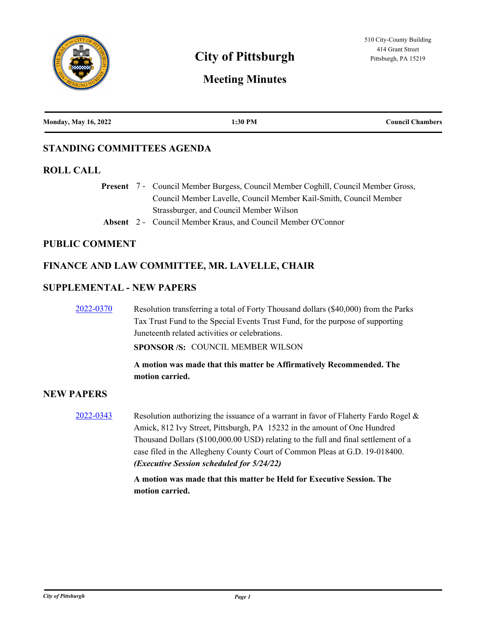

# **City of Pittsburgh Pittsburgh Pittsburgh, PA 15219**

# **Meeting Minutes**

| <b>Monday, May 16, 2022</b> | 1:30 PM | <b>Council Chambers</b> |
|-----------------------------|---------|-------------------------|
|                             |         |                         |

# **STANDING COMMITTEES AGENDA**

# **ROLL CALL**

Present 7 - Council Member Burgess, Council Member Coghill, Council Member Gross, Council Member Lavelle, Council Member Kail-Smith, Council Member Strassburger, and Council Member Wilson

**Absent** 2 - Council Member Kraus, and Council Member O'Connor

#### **PUBLIC COMMENT**

# **FINANCE AND LAW COMMITTEE, MR. LAVELLE, CHAIR**

#### **SUPPLEMENTAL - NEW PAPERS**

[2022-0370](http://pittsburgh.legistar.com/gateway.aspx?m=l&id=/matter.aspx?key=27750) Resolution transferring a total of Forty Thousand dollars (\$40,000) from the Parks Tax Trust Fund to the Special Events Trust Fund, for the purpose of supporting Juneteenth related activities or celebrations.

**SPONSOR /S:** COUNCIL MEMBER WILSON

**A motion was made that this matter be Affirmatively Recommended. The motion carried.**

# **NEW PAPERS**

[2022-0343](http://pittsburgh.legistar.com/gateway.aspx?m=l&id=/matter.aspx?key=27717) Resolution authorizing the issuance of a warrant in favor of Flaherty Fardo Rogel & Amick, 812 Ivy Street, Pittsburgh, PA 15232 in the amount of One Hundred Thousand Dollars (\$100,000.00 USD) relating to the full and final settlement of a case filed in the Allegheny County Court of Common Pleas at G.D. 19-018400. *(Executive Session scheduled for 5/24/22)*

> **A motion was made that this matter be Held for Executive Session. The motion carried.**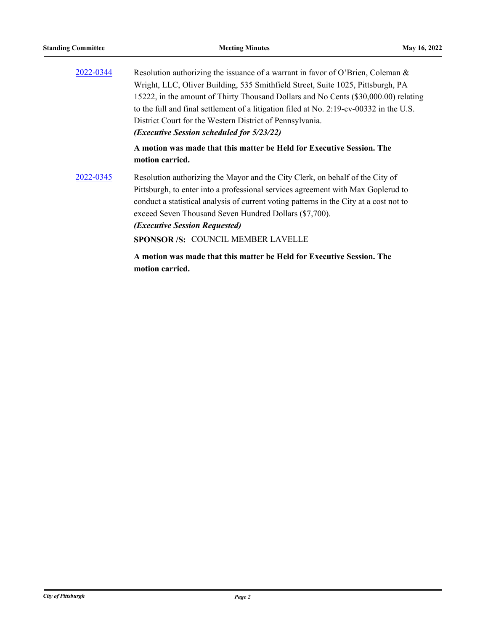| 2022-0344 | Resolution authorizing the issuance of a warrant in favor of O'Brien, Coleman &                                                                                                                                                                                                                                                                                                                                  |
|-----------|------------------------------------------------------------------------------------------------------------------------------------------------------------------------------------------------------------------------------------------------------------------------------------------------------------------------------------------------------------------------------------------------------------------|
|           | Wright, LLC, Oliver Building, 535 Smithfield Street, Suite 1025, Pittsburgh, PA                                                                                                                                                                                                                                                                                                                                  |
|           | 15222, in the amount of Thirty Thousand Dollars and No Cents (\$30,000.00) relating                                                                                                                                                                                                                                                                                                                              |
|           | to the full and final settlement of a litigation filed at No. 2:19-cv-00332 in the U.S.                                                                                                                                                                                                                                                                                                                          |
|           | District Court for the Western District of Pennsylvania.                                                                                                                                                                                                                                                                                                                                                         |
|           | (Executive Session scheduled for 5/23/22)                                                                                                                                                                                                                                                                                                                                                                        |
|           | A motion was made that this matter be Held for Executive Session. The<br>motion carried.                                                                                                                                                                                                                                                                                                                         |
| 2022-0345 | Resolution authorizing the Mayor and the City Clerk, on behalf of the City of<br>Pittsburgh, to enter into a professional services agreement with Max Goplerud to<br>conduct a statistical analysis of current voting patterns in the City at a cost not to<br>exceed Seven Thousand Seven Hundred Dollars (\$7,700).<br><i><b>(Executive Session Requested)</b></i><br><b>SPONSOR/S: COUNCIL MEMBER LAVELLE</b> |
|           | A motion was made that this matter be Held for Executive Session. The<br>motion carried.                                                                                                                                                                                                                                                                                                                         |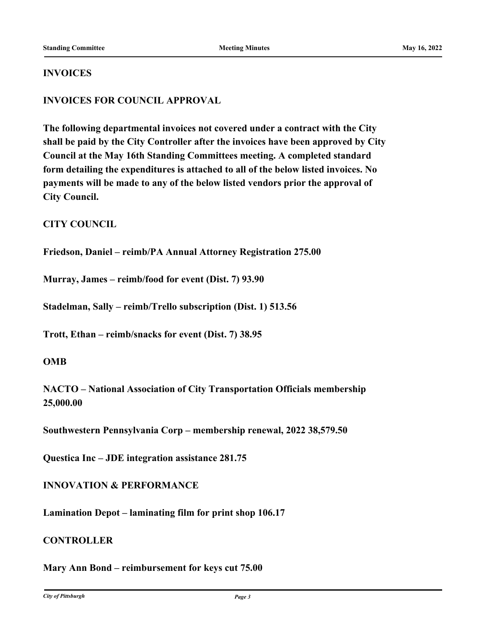#### **INVOICES**

# **INVOICES FOR COUNCIL APPROVAL**

**The following departmental invoices not covered under a contract with the City shall be paid by the City Controller after the invoices have been approved by City Council at the May 16th Standing Committees meeting. A completed standard form detailing the expenditures is attached to all of the below listed invoices. No payments will be made to any of the below listed vendors prior the approval of City Council.**

# **CITY COUNCIL**

**Friedson, Daniel – reimb/PA Annual Attorney Registration 275.00**

**Murray, James – reimb/food for event (Dist. 7) 93.90**

**Stadelman, Sally – reimb/Trello subscription (Dist. 1) 513.56**

**Trott, Ethan – reimb/snacks for event (Dist. 7) 38.95**

#### **OMB**

**NACTO – National Association of City Transportation Officials membership 25,000.00**

**Southwestern Pennsylvania Corp – membership renewal, 2022 38,579.50**

**Questica Inc – JDE integration assistance 281.75**

#### **INNOVATION & PERFORMANCE**

**Lamination Depot – laminating film for print shop 106.17**

#### **CONTROLLER**

**Mary Ann Bond – reimbursement for keys cut 75.00**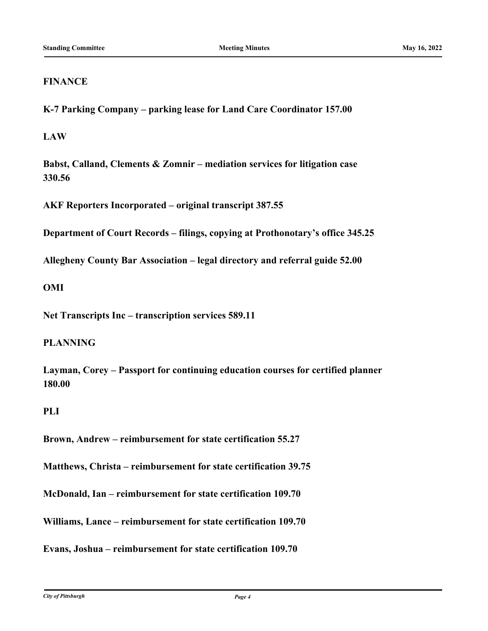# **FINANCE**

**K-7 Parking Company – parking lease for Land Care Coordinator 157.00**

**LAW**

**Babst, Calland, Clements & Zomnir – mediation services for litigation case 330.56**

**AKF Reporters Incorporated – original transcript 387.55**

**Department of Court Records – filings, copying at Prothonotary's office 345.25**

**Allegheny County Bar Association – legal directory and referral guide 52.00**

# **OMI**

**Net Transcripts Inc – transcription services 589.11**

# **PLANNING**

**Layman, Corey – Passport for continuing education courses for certified planner 180.00**

# **PLI**

**Brown, Andrew – reimbursement for state certification 55.27**

**Matthews, Christa – reimbursement for state certification 39.75**

**McDonald, Ian – reimbursement for state certification 109.70**

**Williams, Lance – reimbursement for state certification 109.70**

**Evans, Joshua – reimbursement for state certification 109.70**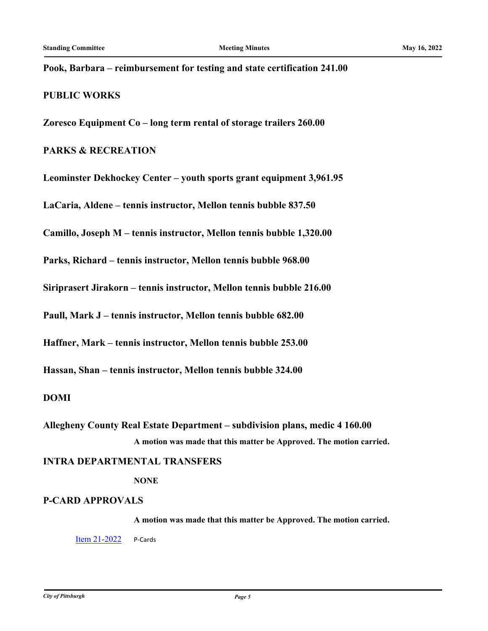### **Pook, Barbara – reimbursement for testing and state certification 241.00**

#### **PUBLIC WORKS**

**Zoresco Equipment Co – long term rental of storage trailers 260.00**

# **PARKS & RECREATION**

**Leominster Dekhockey Center – youth sports grant equipment 3,961.95**

**LaCaria, Aldene – tennis instructor, Mellon tennis bubble 837.50**

**Camillo, Joseph M – tennis instructor, Mellon tennis bubble 1,320.00**

**Parks, Richard – tennis instructor, Mellon tennis bubble 968.00**

**Siriprasert Jirakorn – tennis instructor, Mellon tennis bubble 216.00**

**Paull, Mark J – tennis instructor, Mellon tennis bubble 682.00**

**Haffner, Mark – tennis instructor, Mellon tennis bubble 253.00**

**Hassan, Shan – tennis instructor, Mellon tennis bubble 324.00**

#### **DOMI**

**Allegheny County Real Estate Department – subdivision plans, medic 4 160.00 A motion was made that this matter be Approved. The motion carried.**

#### **INTRA DEPARTMENTAL TRANSFERS**

**NONE**

#### **P-CARD APPROVALS**

**A motion was made that this matter be Approved. The motion carried.**

**[Item 21-2022](http://pittsburgh.legistar.com/gateway.aspx?m=l&id=/matter.aspx?key=27749)** P-Cards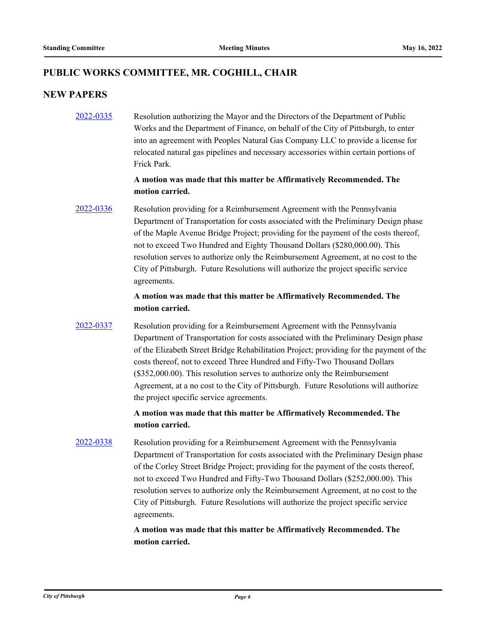# **PUBLIC WORKS COMMITTEE, MR. COGHILL, CHAIR**

# **NEW PAPERS**

[2022-0335](http://pittsburgh.legistar.com/gateway.aspx?m=l&id=/matter.aspx?key=27709) Resolution authorizing the Mayor and the Directors of the Department of Public Works and the Department of Finance, on behalf of the City of Pittsburgh, to enter into an agreement with Peoples Natural Gas Company LLC to provide a license for relocated natural gas pipelines and necessary accessories within certain portions of Frick Park.

# **A motion was made that this matter be Affirmatively Recommended. The motion carried.**

[2022-0336](http://pittsburgh.legistar.com/gateway.aspx?m=l&id=/matter.aspx?key=27710) Resolution providing for a Reimbursement Agreement with the Pennsylvania Department of Transportation for costs associated with the Preliminary Design phase of the Maple Avenue Bridge Project; providing for the payment of the costs thereof, not to exceed Two Hundred and Eighty Thousand Dollars (\$280,000.00). This resolution serves to authorize only the Reimbursement Agreement, at no cost to the City of Pittsburgh. Future Resolutions will authorize the project specific service agreements.

# **A motion was made that this matter be Affirmatively Recommended. The motion carried.**

[2022-0337](http://pittsburgh.legistar.com/gateway.aspx?m=l&id=/matter.aspx?key=27711) Resolution providing for a Reimbursement Agreement with the Pennsylvania Department of Transportation for costs associated with the Preliminary Design phase of the Elizabeth Street Bridge Rehabilitation Project; providing for the payment of the costs thereof, not to exceed Three Hundred and Fifty-Two Thousand Dollars (\$352,000.00). This resolution serves to authorize only the Reimbursement Agreement, at a no cost to the City of Pittsburgh. Future Resolutions will authorize the project specific service agreements.

# **A motion was made that this matter be Affirmatively Recommended. The motion carried.**

[2022-0338](http://pittsburgh.legistar.com/gateway.aspx?m=l&id=/matter.aspx?key=27712) Resolution providing for a Reimbursement Agreement with the Pennsylvania Department of Transportation for costs associated with the Preliminary Design phase of the Corley Street Bridge Project; providing for the payment of the costs thereof, not to exceed Two Hundred and Fifty-Two Thousand Dollars (\$252,000.00). This resolution serves to authorize only the Reimbursement Agreement, at no cost to the City of Pittsburgh. Future Resolutions will authorize the project specific service agreements.

> **A motion was made that this matter be Affirmatively Recommended. The motion carried.**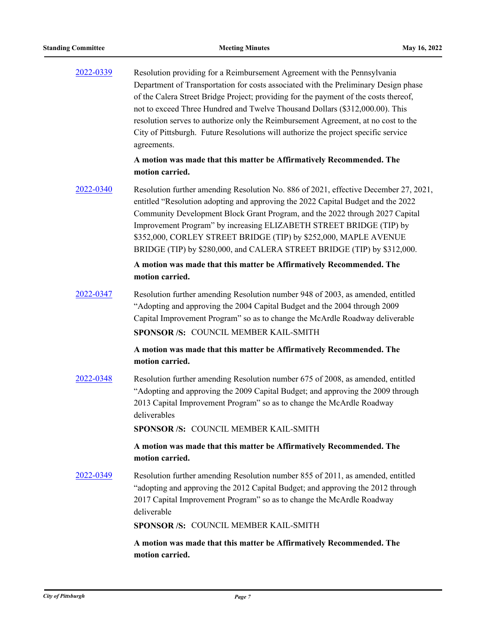| 2022-0339 | Resolution providing for a Reimbursement Agreement with the Pennsylvania<br>Department of Transportation for costs associated with the Preliminary Design phase<br>of the Calera Street Bridge Project; providing for the payment of the costs thereof,<br>not to exceed Three Hundred and Twelve Thousand Dollars (\$312,000.00). This<br>resolution serves to authorize only the Reimbursement Agreement, at no cost to the<br>City of Pittsburgh. Future Resolutions will authorize the project specific service<br>agreements. |
|-----------|------------------------------------------------------------------------------------------------------------------------------------------------------------------------------------------------------------------------------------------------------------------------------------------------------------------------------------------------------------------------------------------------------------------------------------------------------------------------------------------------------------------------------------|
|           | A motion was made that this matter be Affirmatively Recommended. The<br>motion carried.                                                                                                                                                                                                                                                                                                                                                                                                                                            |
| 2022-0340 | Resolution further amending Resolution No. 886 of 2021, effective December 27, 2021,<br>entitled "Resolution adopting and approving the 2022 Capital Budget and the 2022<br>Community Development Block Grant Program, and the 2022 through 2027 Capital<br>Improvement Program" by increasing ELIZABETH STREET BRIDGE (TIP) by<br>\$352,000, CORLEY STREET BRIDGE (TIP) by \$252,000, MAPLE AVENUE<br>BRIDGE (TIP) by \$280,000, and CALERA STREET BRIDGE (TIP) by \$312,000.                                                     |
|           | A motion was made that this matter be Affirmatively Recommended. The<br>motion carried.                                                                                                                                                                                                                                                                                                                                                                                                                                            |
| 2022-0347 | Resolution further amending Resolution number 948 of 2003, as amended, entitled<br>"Adopting and approving the 2004 Capital Budget and the 2004 through 2009<br>Capital Improvement Program" so as to change the McArdle Roadway deliverable<br>SPONSOR /S: COUNCIL MEMBER KAIL-SMITH                                                                                                                                                                                                                                              |
|           | A motion was made that this matter be Affirmatively Recommended. The<br>motion carried.                                                                                                                                                                                                                                                                                                                                                                                                                                            |
| 2022-0348 | Resolution further amending Resolution number 675 of 2008, as amended, entitled<br>"Adopting and approving the 2009 Capital Budget; and approving the 2009 through<br>2013 Capital Improvement Program" so as to change the McArdle Roadway<br>deliverables                                                                                                                                                                                                                                                                        |
|           | SPONSOR /S: COUNCIL MEMBER KAIL-SMITH                                                                                                                                                                                                                                                                                                                                                                                                                                                                                              |
|           | A motion was made that this matter be Affirmatively Recommended. The<br>motion carried.                                                                                                                                                                                                                                                                                                                                                                                                                                            |
| 2022-0349 | Resolution further amending Resolution number 855 of 2011, as amended, entitled<br>"adopting and approving the 2012 Capital Budget; and approving the 2012 through<br>2017 Capital Improvement Program" so as to change the McArdle Roadway<br>deliverable                                                                                                                                                                                                                                                                         |
|           | SPONSOR /S: COUNCIL MEMBER KAIL-SMITH                                                                                                                                                                                                                                                                                                                                                                                                                                                                                              |
|           | A motion was made that this matter be Affirmatively Recommended. The<br>motion carried.                                                                                                                                                                                                                                                                                                                                                                                                                                            |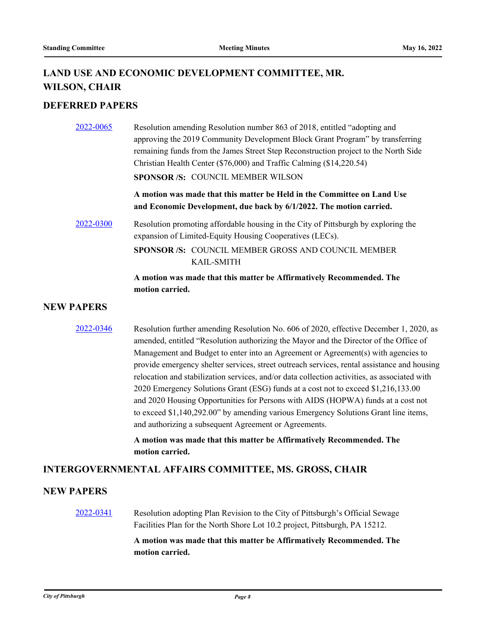# **LAND USE AND ECONOMIC DEVELOPMENT COMMITTEE, MR. WILSON, CHAIR**

# **DEFERRED PAPERS**

| 2022-0065 | Resolution amending Resolution number 863 of 2018, entitled "adopting and<br>approving the 2019 Community Development Block Grant Program" by transferring<br>remaining funds from the James Street Step Reconstruction project to the North Side<br>Christian Health Center (\$76,000) and Traffic Calming (\$14,220.54) |
|-----------|---------------------------------------------------------------------------------------------------------------------------------------------------------------------------------------------------------------------------------------------------------------------------------------------------------------------------|
|           | <b>SPONSOR/S: COUNCIL MEMBER WILSON</b>                                                                                                                                                                                                                                                                                   |
|           | A motion was made that this matter be Held in the Committee on Land Use<br>and Economic Development, due back by 6/1/2022. The motion carried.                                                                                                                                                                            |
| 2022-0300 | Resolution promoting affordable housing in the City of Pittsburgh by exploring the<br>expansion of Limited-Equity Housing Cooperatives (LECs).                                                                                                                                                                            |
|           | <b>SPONSOR/S: COUNCIL MEMBER GROSS AND COUNCIL MEMBER</b><br><b>KAIL-SMITH</b>                                                                                                                                                                                                                                            |
|           | A motion was made that this matter be Affirmatively Recommended. The                                                                                                                                                                                                                                                      |

#### **NEW PAPERS**

**motion carried.**

[2022-0346](http://pittsburgh.legistar.com/gateway.aspx?m=l&id=/matter.aspx?key=27720) Resolution further amending Resolution No. 606 of 2020, effective December 1, 2020, as amended, entitled "Resolution authorizing the Mayor and the Director of the Office of Management and Budget to enter into an Agreement or Agreement(s) with agencies to provide emergency shelter services, street outreach services, rental assistance and housing relocation and stabilization services, and/or data collection activities, as associated with 2020 Emergency Solutions Grant (ESG) funds at a cost not to exceed \$1,216,133.00 and 2020 Housing Opportunities for Persons with AIDS (HOPWA) funds at a cost not to exceed \$1,140,292.00" by amending various Emergency Solutions Grant line items, and authorizing a subsequent Agreement or Agreements.

> **A motion was made that this matter be Affirmatively Recommended. The motion carried.**

#### **INTERGOVERNMENTAL AFFAIRS COMMITTEE, MS. GROSS, CHAIR**

# **NEW PAPERS**

[2022-0341](http://pittsburgh.legistar.com/gateway.aspx?m=l&id=/matter.aspx?key=27715) Resolution adopting Plan Revision to the City of Pittsburgh's Official Sewage Facilities Plan for the North Shore Lot 10.2 project, Pittsburgh, PA 15212.

> **A motion was made that this matter be Affirmatively Recommended. The motion carried.**